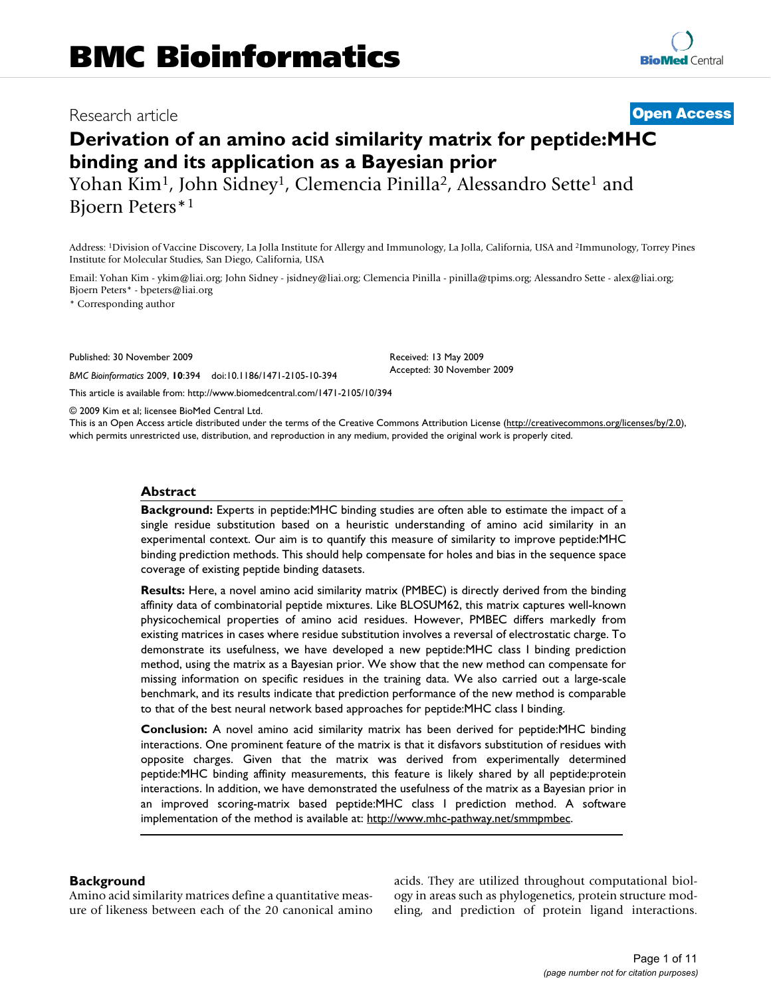## Research article **[Open Access](http://www.biomedcentral.com/info/about/charter/)**

# **Derivation of an amino acid similarity matrix for peptide:MHC binding and its application as a Bayesian prior**

Yohan Kim<sup>1</sup>, John Sidney<sup>1</sup>, Clemencia Pinilla<sup>2</sup>, Alessandro Sette<sup>1</sup> and Bjoern Peters\*1

Address: 1Division of Vaccine Discovery, La Jolla Institute for Allergy and Immunology, La Jolla, California, USA and 2Immunology, Torrey Pines Institute for Molecular Studies, San Diego, California, USA

Email: Yohan Kim - ykim@liai.org; John Sidney - jsidney@liai.org; Clemencia Pinilla - pinilla@tpims.org; Alessandro Sette - alex@liai.org; Bjoern Peters\* - bpeters@liai.org

\* Corresponding author

Published: 30 November 2009

*BMC Bioinformatics* 2009, **10**:394 doi:10.1186/1471-2105-10-394

[This article is available from: http://www.biomedcentral.com/1471-2105/10/394](http://www.biomedcentral.com/1471-2105/10/394)

© 2009 Kim et al; licensee BioMed Central Ltd.

This is an Open Access article distributed under the terms of the Creative Commons Attribution License [\(http://creativecommons.org/licenses/by/2.0\)](http://creativecommons.org/licenses/by/2.0), which permits unrestricted use, distribution, and reproduction in any medium, provided the original work is properly cited.

Received: 13 May 2009 Accepted: 30 November 2009

#### **Abstract**

**Background:** Experts in peptide:MHC binding studies are often able to estimate the impact of a single residue substitution based on a heuristic understanding of amino acid similarity in an experimental context. Our aim is to quantify this measure of similarity to improve peptide:MHC binding prediction methods. This should help compensate for holes and bias in the sequence space coverage of existing peptide binding datasets.

**Results:** Here, a novel amino acid similarity matrix (PMBEC) is directly derived from the binding affinity data of combinatorial peptide mixtures. Like BLOSUM62, this matrix captures well-known physicochemical properties of amino acid residues. However, PMBEC differs markedly from existing matrices in cases where residue substitution involves a reversal of electrostatic charge. To demonstrate its usefulness, we have developed a new peptide:MHC class I binding prediction method, using the matrix as a Bayesian prior. We show that the new method can compensate for missing information on specific residues in the training data. We also carried out a large-scale benchmark, and its results indicate that prediction performance of the new method is comparable to that of the best neural network based approaches for peptide:MHC class I binding.

**Conclusion:** A novel amino acid similarity matrix has been derived for peptide:MHC binding interactions. One prominent feature of the matrix is that it disfavors substitution of residues with opposite charges. Given that the matrix was derived from experimentally determined peptide:MHC binding affinity measurements, this feature is likely shared by all peptide:protein interactions. In addition, we have demonstrated the usefulness of the matrix as a Bayesian prior in an improved scoring-matrix based peptide:MHC class I prediction method. A software implementation of the method is available at:<http://www.mhc-pathway.net/smmpmbec>.

#### **Background**

Amino acid similarity matrices define a quantitative measure of likeness between each of the 20 canonical amino acids. They are utilized throughout computational biology in areas such as phylogenetics, protein structure modeling, and prediction of protein ligand interactions.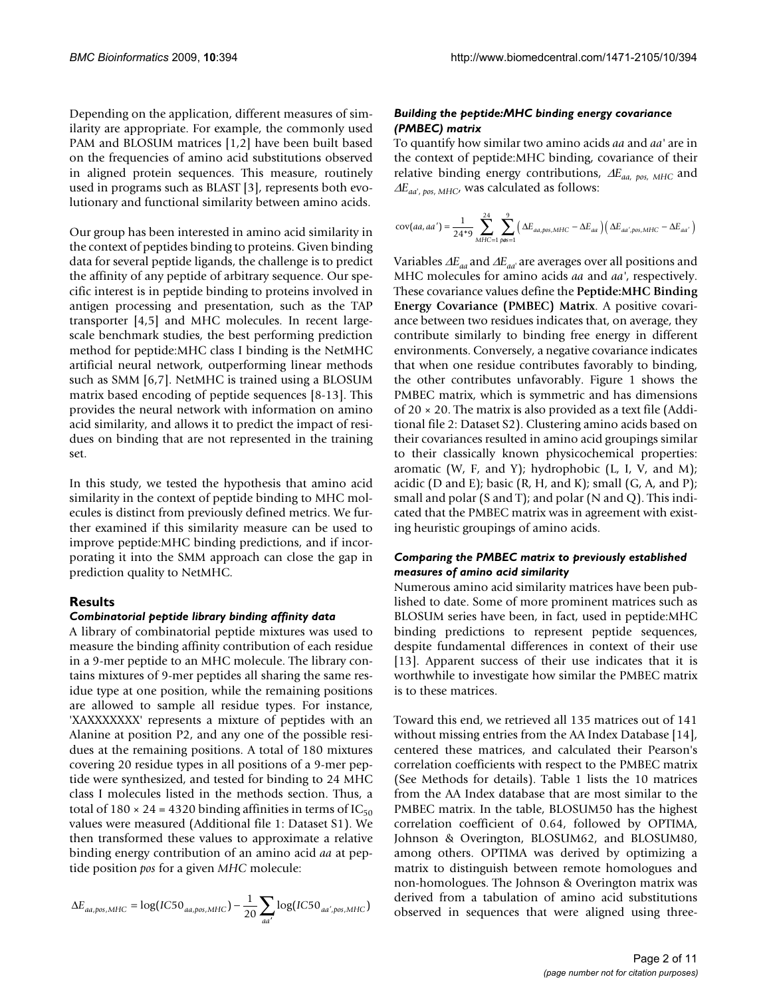Depending on the application, different measures of similarity are appropriate. For example, the commonly used PAM and BLOSUM matrices [1,2] have been built based on the frequencies of amino acid substitutions observed in aligned protein sequences. This measure, routinely used in programs such as BLAST [3], represents both evolutionary and functional similarity between amino acids.

Our group has been interested in amino acid similarity in the context of peptides binding to proteins. Given binding data for several peptide ligands, the challenge is to predict the affinity of any peptide of arbitrary sequence. Our specific interest is in peptide binding to proteins involved in antigen processing and presentation, such as the TAP transporter [4,5] and MHC molecules. In recent largescale benchmark studies, the best performing prediction method for peptide:MHC class I binding is the NetMHC artificial neural network, outperforming linear methods such as SMM [6,7]. NetMHC is trained using a BLOSUM matrix based encoding of peptide sequences [8-13]. This provides the neural network with information on amino acid similarity, and allows it to predict the impact of residues on binding that are not represented in the training set.

In this study, we tested the hypothesis that amino acid similarity in the context of peptide binding to MHC molecules is distinct from previously defined metrics. We further examined if this similarity measure can be used to improve peptide:MHC binding predictions, and if incorporating it into the SMM approach can close the gap in prediction quality to NetMHC.

## **Results**

#### *Combinatorial peptide library binding affinity data*

A library of combinatorial peptide mixtures was used to measure the binding affinity contribution of each residue in a 9-mer peptide to an MHC molecule. The library contains mixtures of 9-mer peptides all sharing the same residue type at one position, while the remaining positions are allowed to sample all residue types. For instance, 'XAXXXXXXX' represents a mixture of peptides with an Alanine at position P2, and any one of the possible residues at the remaining positions. A total of 180 mixtures covering 20 residue types in all positions of a 9-mer peptide were synthesized, and tested for binding to 24 MHC class I molecules listed in the methods section. Thus, a total of 180  $\times$  24 = 4320 binding affinities in terms of IC<sub>50</sub> values were measured (Additional file 1: Dataset S1). We then transformed these values to approximate a relative binding energy contribution of an amino acid *aa* at peptide position *pos* for a given *MHC* molecule:

$$
\Delta E_{aa,pos,MHC} = \log(IC50_{aa,pos,MHC}) - \frac{1}{20} \sum_{aa'} \log(IC50_{aa',pos,MHC})
$$

#### *Building the peptide:MHC binding energy covariance (PMBEC) matrix*

To quantify how similar two amino acids *aa* and *aa'* are in the context of peptide:MHC binding, covariance of their relative binding energy contributions, Δ*Eaa*, *pos*, *MHC* and <sup>Δ</sup>*Eaa*', *pos*, *MHC*, was calculated as follows:

$$
cov(aa,aa') = \frac{1}{24*9} \sum_{MHC=1}^{24} \sum_{pos=1}^{9} \left( \Delta E_{aa,pos,MHC} - \Delta E_{aa} \right) \left( \Delta E_{aa',pos,MHC} - \Delta E_{aa'} \right)
$$

Variables Δ*Eaa* and Δ*Eaa*' are averages over all positions and MHC molecules for amino acids *aa* and *aa'*, respectively. These covariance values define the **Peptide:MHC Binding Energy Covariance (PMBEC) Matrix**. A positive covariance between two residues indicates that, on average, they contribute similarly to binding free energy in different environments. Conversely, a negative covariance indicates that when one residue contributes favorably to binding, the other contributes unfavorably. Figure 1 shows the PMBEC matrix, which is symmetric and has dimensions of 20 × 20. The matrix is also provided as a text file (Additional file 2: Dataset S2). Clustering amino acids based on their covariances resulted in amino acid groupings similar to their classically known physicochemical properties: aromatic (W, F, and Y); hydrophobic (L, I, V, and M); acidic (D and E); basic (R, H, and K); small (G, A, and P); small and polar (S and T); and polar (N and Q). This indicated that the PMBEC matrix was in agreement with existing heuristic groupings of amino acids.

#### *Comparing the PMBEC matrix to previously established measures of amino acid similarity*

Numerous amino acid similarity matrices have been published to date. Some of more prominent matrices such as BLOSUM series have been, in fact, used in peptide:MHC binding predictions to represent peptide sequences, despite fundamental differences in context of their use [13]. Apparent success of their use indicates that it is worthwhile to investigate how similar the PMBEC matrix is to these matrices.

Toward this end, we retrieved all 135 matrices out of 141 without missing entries from the AA Index Database [14], centered these matrices, and calculated their Pearson's correlation coefficients with respect to the PMBEC matrix (See Methods for details). Table 1 lists the 10 matrices from the AA Index database that are most similar to the PMBEC matrix. In the table, BLOSUM50 has the highest correlation coefficient of 0.64, followed by OPTIMA, Johnson & Overington, BLOSUM62, and BLOSUM80, among others. OPTIMA was derived by optimizing a matrix to distinguish between remote homologues and non-homologues. The Johnson & Overington matrix was derived from a tabulation of amino acid substitutions observed in sequences that were aligned using three- <sup>Δ</sup>*E IC IC aa pos MHC aa pos MHC aa pos MHC*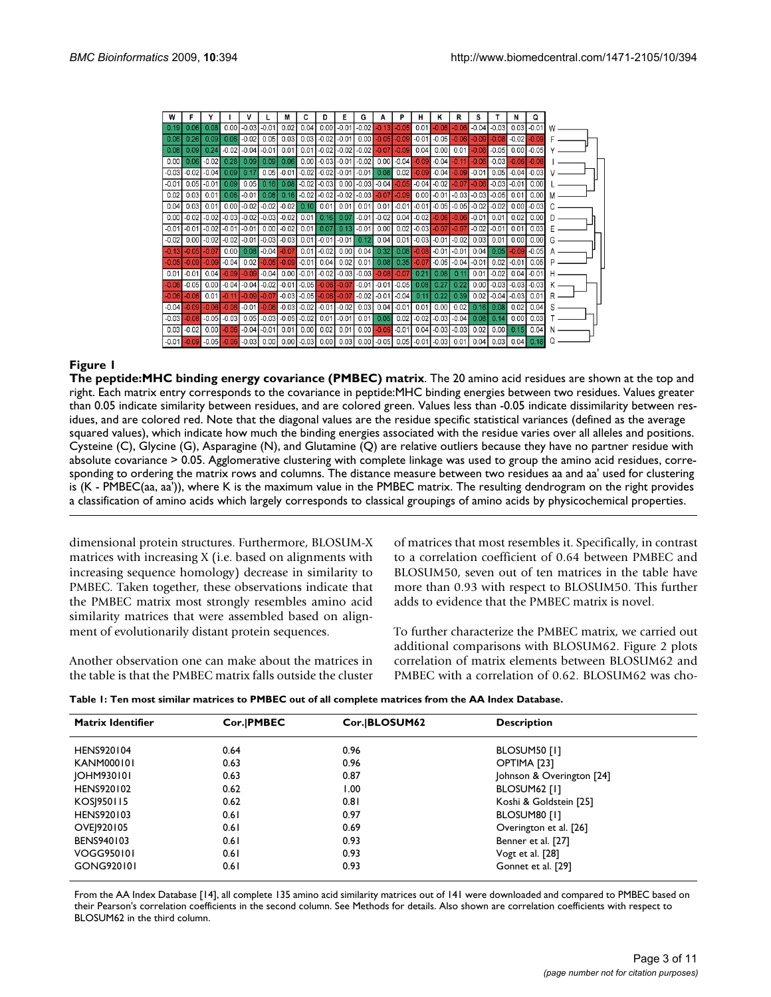| w        | F                                                                                                                         |                 |                 | ν                       |                 | м       | c              | D                       | Е               | G       | А        | P               | н              | Κ                                              | R                 | s            |         | N              | Q       |    |
|----------|---------------------------------------------------------------------------------------------------------------------------|-----------------|-----------------|-------------------------|-----------------|---------|----------------|-------------------------|-----------------|---------|----------|-----------------|----------------|------------------------------------------------|-------------------|--------------|---------|----------------|---------|----|
| 0.19     | 0.06                                                                                                                      | 0.08            | 0.00            | $-0.03$                 | $-0.01$         | 0.02    | 0.04           | 0.00                    | $-0.01$         | $-0.02$ | $-0.13$  | $-0.05$         | 0.01           | $-0.06$                                        | $-0.06$           | $-0.04$      | $-0.03$ | 0.03           | $-0.01$ | W  |
| 0.06     | 0.26                                                                                                                      | 0.09            | 0.06            | $-0.02$                 | 0.05            | 0.03    | 0.03           | $-0.02$                 | $-0.01$         | 0.001   | $-0.05$  | $-0.09$         | $-0.01$        | $-0.05$                                        | $-0.06$           | $-0.09$      | $-0.08$ | $-0.02$        | $-0.09$ |    |
| 0.081    | 0.091                                                                                                                     | 0.24            | $-0.02$         | $-0.04$                 | $-0.01$         | 0.01    | 0.01           | $-0.02$                 | $-0.02$         | $-0.02$ | $-0.07$  | $-0.09$         | 0.04           | 0.001                                          | 0.01              | $-0.06$      | $-0.05$ | 0.001          | $-0.05$ |    |
| 0.001    | 0.06                                                                                                                      | $-0.02$         | 0.28            | 0.09                    | 0.09            | 0.06    | 0.00           | $-0.03$                 | $-0.01$         | $-0.02$ | 0.001    | $-0.04$         | $-0.09$        | $-0.04$                                        | $-0.11$           | $-0.06$      | $-0.03$ | $-0.06$        | $-0.06$ |    |
| $-0.03$  |                                                                                                                           | $-0.02$ $-0.04$ | 0.09            | 0.17                    | 0.05            | $-0.01$ |                | $-0.02$ $-0.02$ $-0.01$ |                 | $-0.01$ | 0.08     | 0.02            |                | $-0.09$ $-0.04$ $-0.09$                        |                   | $-0.01$      |         | $0.05$ $-0.04$ | $-0.03$ |    |
| $-0.01$  | 0.05                                                                                                                      | $-0.01$         | 0.09            | 0.05                    | 0.16            | 0.08    | $-0.02$        | $-0.03$                 | 0.00            | $-0.03$ | $-0.04$  | $-0.05$         |                | $-0.04$ $-0.02$                                | $-0.07$           | $-0.06$      | $-0.03$ | $-0.01$        | 0.00    |    |
| 0.02     | 0.03                                                                                                                      | 0.01            | 0.06            | $-0.01$                 | 0.08            |         | $0.16$ $-0.02$ | $-0.02$                 | $-0.02$         | $-0.03$ |          | $-0.07$ $-0.09$ | 0.001          |                                                | -0.01 -0.03 -0.03 |              | $-0.05$ | 0.01           | 0.00    |    |
| 0.04     | 0.03                                                                                                                      | 0.01            | 0.00            | $-0.02$                 | $-0.02$         | $-0.02$ | 0.10           | 0.01                    | 0.01            | 0.01    |          |                 |                | $0.01$ $-0.01$ $-0.01$ $-0.05$ $-0.05$ $-0.02$ |                   |              | $-0.02$ | 0.00           | $-0.03$ |    |
| 0.00     | $-0.02$                                                                                                                   | $-0.02$         |                 | $-0.03$ $-0.02$         | $-0.03$         | $-0.02$ | 0.01           | 0.16                    | 0.07            | $-0.01$ | $-0.02$  |                 | $0.04$ $-0.02$ | $-0.06$                                        | $-0.06$ $-0.01$   |              | 0.01    | 0.02           | 0.00    |    |
| $-0.01$  |                                                                                                                           | $-0.01$ $-0.02$ | $-0.01$         | $-0.01$                 | 0.00            | $-0.02$ | 0.01           | 0.07                    | 0.13            | $-0.01$ | 0.00     |                 |                | $0.02$ -0.03 -0.07 -0.07                       |                   | $-0.02$      | $-0.01$ | 0.01           | 0.03    |    |
| $-0.02$  |                                                                                                                           | $0.00$ $-0.02$  | $-0.02$         | $-0.01$                 | $-0.03$         | $-0.03$ | 0.01           | $-0.01$                 | $-0.01$         | 0.12    | 0.04     | 0.01            | l -0.03 l      | $-0.01$                                        | $-0.02$           | 0.03         | 0.01    | 0.00           | 0.00    | G  |
| $-0.13$  |                                                                                                                           | $-0.05$ $-0.07$ | 0.00            | 0.08                    | $-0.04$         | $-0.07$ | 0.01           | $-0.02$                 | 0.00            | 0.04    | 0.32     | 0.08            |                | $-0.08$ $-0.01$                                | $-0.01$           | 0.04         | 0.05    | $-0.09$        | $-0.05$ |    |
| $-0.051$ | $-0.09$                                                                                                                   | $-0.09$         | $-0.04$         | 0.02                    | $-0.05$         | $-0.09$ | $-0.01$        | 0.04                    | 0.02            | 0.01    | 0.08     | 0.35            | $-0.07$        | $\vert$ -0.05                                  | $-0.04$           | $-0.01$      | 0.02    | $-0.01$        | 0.05    |    |
| 0.01     | $-0.01$                                                                                                                   | 0.04            | $-0.091$        | $-0.09$                 | $-0.04$         | 0.00    | $-0.01$        | $-0.02$                 | $-0.03$         | $-0.03$ | $-0.081$ | $-0.07$         | 0.21           | 0.08                                           | 0.11              | 0.01         | $-0.02$ | 0.04           | $-0.01$ | н  |
| $-0.06$  | $-0.05$                                                                                                                   | 0.001           |                 | $-0.04$ $-0.04$ $\cdot$ | $-0.02$         | $-0.01$ | $-0.05$        | $-0.06$                 | $-0.07$         | $-0.01$ |          | $-0.01$ $-0.05$ | 0.08           | 0.27                                           | 0.22              | 0.00         | $-0.03$ | $-0.03$        | $-0.03$ | Κ. |
| $-0.06$  | $-0.06$                                                                                                                   | 0.01            | $-0.11$         | $-0.09$                 | $-0.07$         | $-0.03$ | $-0.05$        | $-0.06$                 | $-0.07$         | $-0.02$ |          | $-0.01$ $-0.04$ | 0.11           | 0.22                                           | 0.39              | 0.02         | $-0.04$ | $-0.03$        | 0.01    |    |
| $-0.04$  | $-0.09$                                                                                                                   | $-0.06$         | $-0.06$         | $-0.01$                 | $-0.06$         | $-0.03$ | $-0.02$        |                         | $-0.01$ $-0.02$ | 0.03    | 0.04     | $-0.01$         | 0.01           | 0.001                                          | 0.02              | 0.16         | 0.08    | 0.02           | 0.04    |    |
| $-0.03$  | $-0.08$                                                                                                                   |                 | $-0.05$ $-0.03$ | 0.051                   | $-0.03$         | $-0.05$ | $-0.02$        | 0.01                    | $-0.01$         | 0.01    | 0.05     | 0.02            | $-0.02$        | $-0.03$                                        |                   | $-0.04$ 0.08 | 0.14    | 0.00           | 0.03    |    |
| 0.03     | $-0.02$                                                                                                                   | 0.00            | $-0.06$         |                         | $-0.04$ $-0.01$ | 0.01    | 0.00           | 0.02                    | 0.01            | 0.00    |          | $-0.09$ $-0.01$ |                | $0.04$ $-0.03$                                 | $-0.03$           | 0.02         | 0.00    | 0.15           | 0.04    |    |
|          | -0.01 <del>-0.09</del> -0.05 -0.06 -0.03 0.00 -0.03 0.00 -0.03 0.00 0.03 0.00 -0.05 0.05 0.01 -0.03 0.01 0.04 0.03 0.04 0 |                 |                 |                         |                 |         |                |                         |                 |         |          |                 |                |                                                |                   |              |         |                | 0.18    |    |

#### Figure 1

**The peptide:MHC binding energy covariance (PMBEC) matrix**. The 20 amino acid residues are shown at the top and right. Each matrix entry corresponds to the covariance in peptide:MHC binding energies between two residues. Values greater than 0.05 indicate similarity between residues, and are colored green. Values less than -0.05 indicate dissimilarity between residues, and are colored red. Note that the diagonal values are the residue specific statistical variances (defined as the average squared values), which indicate how much the binding energies associated with the residue varies over all alleles and positions. Cysteine (C), Glycine (G), Asparagine (N), and Glutamine (Q) are relative outliers because they have no partner residue with absolute covariance > 0.05. Agglomerative clustering with complete linkage was used to group the amino acid residues, corresponding to ordering the matrix rows and columns. The distance measure between two residues aa and aa' used for clustering is (K - PMBEC(aa, aa')), where K is the maximum value in the PMBEC matrix. The resulting dendrogram on the right provides a classification of amino acids which largely corresponds to classical groupings of amino acids by physicochemical properties.

dimensional protein structures. Furthermore, BLOSUM-X matrices with increasing X (i.e. based on alignments with increasing sequence homology) decrease in similarity to PMBEC. Taken together, these observations indicate that the PMBEC matrix most strongly resembles amino acid similarity matrices that were assembled based on alignment of evolutionarily distant protein sequences.

Another observation one can make about the matrices in the table is that the PMBEC matrix falls outside the cluster of matrices that most resembles it. Specifically, in contrast to a correlation coefficient of 0.64 between PMBEC and BLOSUM50, seven out of ten matrices in the table have more than 0.93 with respect to BLOSUM50. This further adds to evidence that the PMBEC matrix is novel.

To further characterize the PMBEC matrix, we carried out additional comparisons with BLOSUM62. Figure 2 plots correlation of matrix elements between BLOSUM62 and PMBEC with a correlation of 0.62. BLOSUM62 was cho-

|  |  |  |  |  |  | Table 1: Ten most similar matrices to PMBEC out of all complete matrices from the AA Index Database. |
|--|--|--|--|--|--|------------------------------------------------------------------------------------------------------|
|  |  |  |  |  |  |                                                                                                      |

| <b>Matrix Identifier</b> | Cor. PMBEC | Cor. BLOSUM62 | <b>Description</b>        |
|--------------------------|------------|---------------|---------------------------|
| <b>HENS920104</b>        | 0.64       | 0.96          | BLOSUM50 <sup>[1]</sup>   |
| KANM000101               | 0.63       | 0.96          | OPTIMA <sub>[23]</sub>    |
| <b>JOHM930101</b>        | 0.63       | 0.87          | Johnson & Overington [24] |
| <b>HENS920102</b>        | 0.62       | 1.00          | BLOSUM62 <sup>[1]</sup>   |
| KOSJ950115               | 0.62       | 0.81          | Koshi & Goldstein [25]    |
| HENS920103               | 0.61       | 0.97          | BLOSUM80 <sup>[1]</sup>   |
| OVE 920105               | 0.61       | 0.69          | Overington et al. [26]    |
| BENS940103               | 0.61       | 0.93          | Benner et al. [27]        |
| <b>VOGG950101</b>        | 0.61       | 0.93          | Vogt et al. [28]          |
| GONG920101               | 0.61       | 0.93          | Gonnet et al. [29]        |

From the AA Index Database [14], all complete 135 amino acid similarity matrices out of 141 were downloaded and compared to PMBEC based on their Pearson's correlation coefficients in the second column. See Methods for details. Also shown are correlation coefficients with respect to BLOSUM62 in the third column.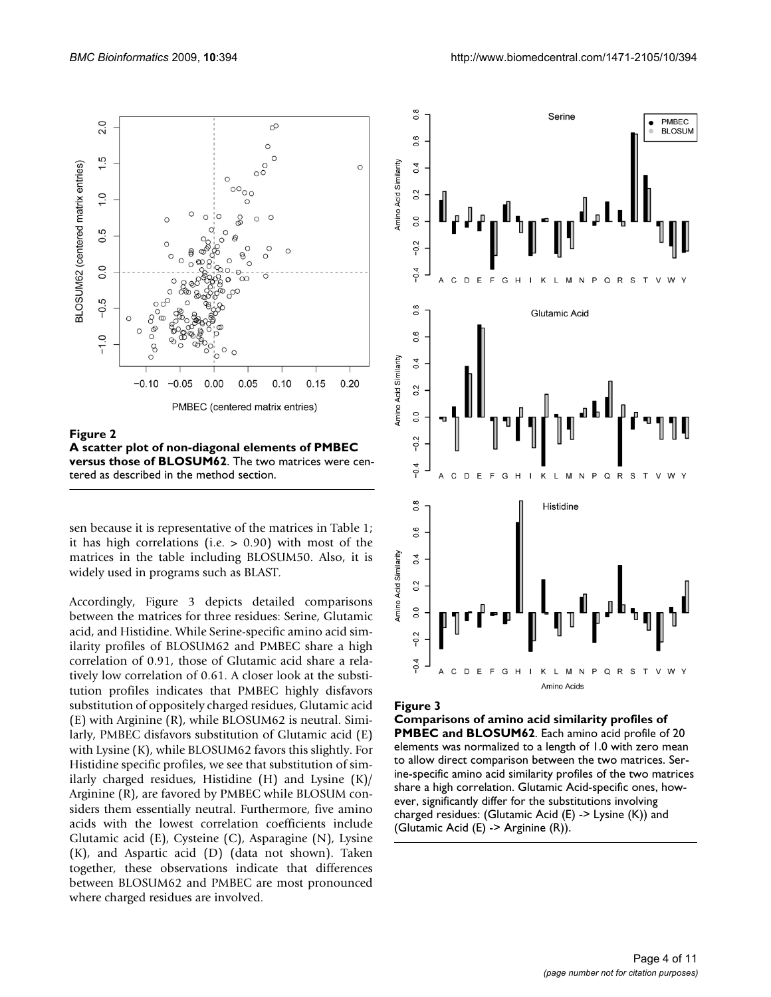



Figure 2 **A scatter plot of non-diagonal elements of PMBEC versus those of BLOSUM62**. The two matrices were centered as described in the method section.

sen because it is representative of the matrices in Table 1; it has high correlations (i.e. > 0.90) with most of the matrices in the table including BLOSUM50. Also, it is widely used in programs such as BLAST.

Accordingly, Figure 3 depicts detailed comparisons between the matrices for three residues: Serine, Glutamic acid, and Histidine. While Serine-specific amino acid similarity profiles of BLOSUM62 and PMBEC share a high correlation of 0.91, those of Glutamic acid share a relatively low correlation of 0.61. A closer look at the substitution profiles indicates that PMBEC highly disfavors substitution of oppositely charged residues, Glutamic acid (E) with Arginine (R), while BLOSUM62 is neutral. Similarly, PMBEC disfavors substitution of Glutamic acid (E) with Lysine (K), while BLOSUM62 favors this slightly. For Histidine specific profiles, we see that substitution of similarly charged residues, Histidine  $(H)$  and Lysine  $(K)/$ Arginine (R), are favored by PMBEC while BLOSUM considers them essentially neutral. Furthermore, five amino acids with the lowest correlation coefficients include Glutamic acid (E), Cysteine (C), Asparagine (N), Lysine (K), and Aspartic acid (D) (data not shown). Taken together, these observations indicate that differences between BLOSUM62 and PMBEC are most pronounced where charged residues are involved.



#### **Figure 3**

**Comparisons of amino acid similarity profiles of PMBEC and BLOSUM62**. Each amino acid profile of 20 elements was normalized to a length of 1.0 with zero mean to allow direct comparison between the two matrices. Serine-specific amino acid similarity profiles of the two matrices share a high correlation. Glutamic Acid-specific ones, however, significantly differ for the substitutions involving charged residues: (Glutamic Acid (E) -> Lysine (K)) and (Glutamic Acid (E) -> Arginine (R)).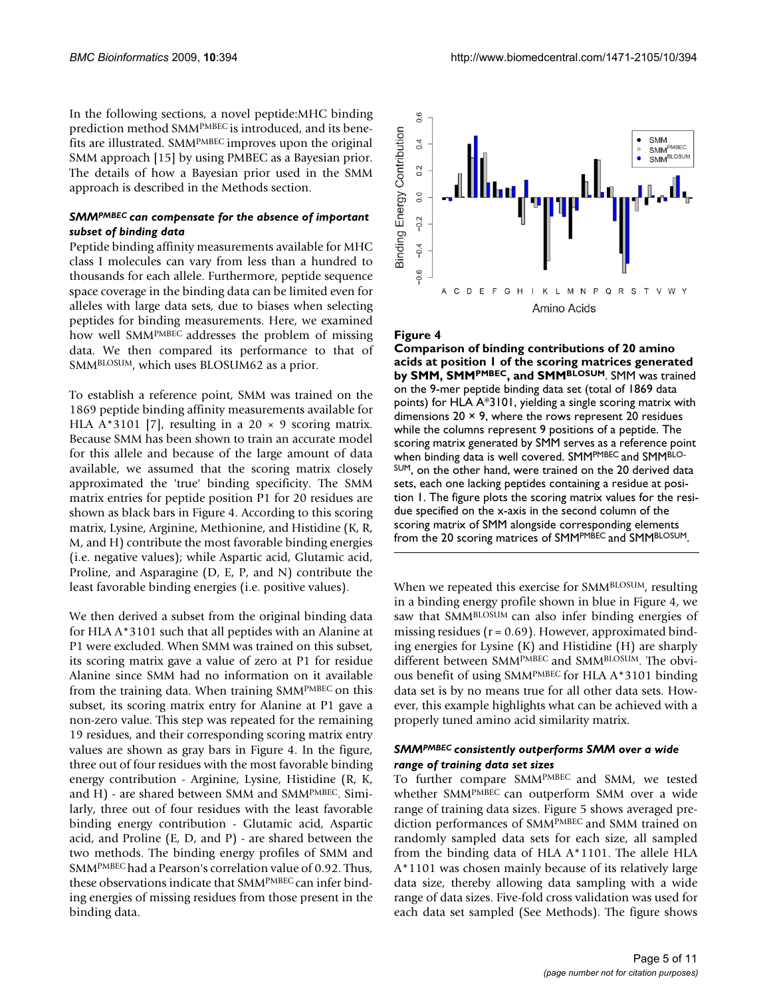In the following sections, a novel peptide:MHC binding prediction method SMMPMBEC is introduced, and its benefits are illustrated. SMMPMBEC improves upon the original SMM approach [15] by using PMBEC as a Bayesian prior. The details of how a Bayesian prior used in the SMM approach is described in the Methods section.

## *SMMPMBEC can compensate for the absence of important subset of binding data*

Peptide binding affinity measurements available for MHC class I molecules can vary from less than a hundred to thousands for each allele. Furthermore, peptide sequence space coverage in the binding data can be limited even for alleles with large data sets, due to biases when selecting peptides for binding measurements. Here, we examined how well SMMPMBEC addresses the problem of missing data. We then compared its performance to that of SMMBLOSUM, which uses BLOSUM62 as a prior.

To establish a reference point, SMM was trained on the 1869 peptide binding affinity measurements available for HLA A\*3101 [7], resulting in a 20  $\times$  9 scoring matrix. Because SMM has been shown to train an accurate model for this allele and because of the large amount of data available, we assumed that the scoring matrix closely approximated the 'true' binding specificity. The SMM matrix entries for peptide position P1 for 20 residues are shown as black bars in Figure 4. According to this scoring matrix, Lysine, Arginine, Methionine, and Histidine (K, R, M, and H) contribute the most favorable binding energies (i.e. negative values); while Aspartic acid, Glutamic acid, Proline, and Asparagine (D, E, P, and N) contribute the least favorable binding energies (i.e. positive values).

We then derived a subset from the original binding data for HLA A\*3101 such that all peptides with an Alanine at P1 were excluded. When SMM was trained on this subset, its scoring matrix gave a value of zero at P1 for residue Alanine since SMM had no information on it available from the training data. When training SMMPMBEC on this subset, its scoring matrix entry for Alanine at P1 gave a non-zero value. This step was repeated for the remaining 19 residues, and their corresponding scoring matrix entry values are shown as gray bars in Figure 4. In the figure, three out of four residues with the most favorable binding energy contribution - Arginine, Lysine, Histidine (R, K, and H) - are shared between SMM and SMMPMBEC. Similarly, three out of four residues with the least favorable binding energy contribution - Glutamic acid, Aspartic acid, and Proline (E, D, and P) - are shared between the two methods. The binding energy profiles of SMM and SMMPMBEC had a Pearson's correlation value of 0.92. Thus, these observations indicate that SMMPMBEC can infer binding energies of missing residues from those present in the binding data.



## Figure 4

**Comparison of binding contributions of 20 amino acids at position 1 of the scoring matrices generated by SMM, SMMPMBEC, and SMMBLOSUM**. SMM was trained on the 9-mer peptide binding data set (total of 1869 data points) for HLA A\*3101, yielding a single scoring matrix with dimensions  $20 \times 9$ , where the rows represent 20 residues while the columns represent 9 positions of a peptide. The scoring matrix generated by SMM serves as a reference point when binding data is well covered. SMMPMBEC and SMMBLO-SUM, on the other hand, were trained on the 20 derived data sets, each one lacking peptides containing a residue at position 1. The figure plots the scoring matrix values for the residue specified on the x-axis in the second column of the scoring matrix of SMM alongside corresponding elements from the 20 scoring matrices of SMMPMBEC and SMMBLOSUM.

When we repeated this exercise for SMM<sup>BLOSUM</sup>, resulting in a binding energy profile shown in blue in Figure 4, we saw that SMM<sup>BLOSUM</sup> can also infer binding energies of missing residues ( $r = 0.69$ ). However, approximated binding energies for Lysine (K) and Histidine (H) are sharply different between SMMPMBEC and SMMBLOSUM. The obvious benefit of using SMMPMBEC for HLA A\*3101 binding data set is by no means true for all other data sets. However, this example highlights what can be achieved with a properly tuned amino acid similarity matrix.

#### *SMMPMBEC consistently outperforms SMM over a wide range of training data set sizes*

To further compare SMMPMBEC and SMM, we tested whether SMMPMBEC can outperform SMM over a wide range of training data sizes. Figure 5 shows averaged prediction performances of SMMPMBEC and SMM trained on randomly sampled data sets for each size, all sampled from the binding data of HLA A\*1101. The allele HLA A\*1101 was chosen mainly because of its relatively large data size, thereby allowing data sampling with a wide range of data sizes. Five-fold cross validation was used for each data set sampled (See Methods). The figure shows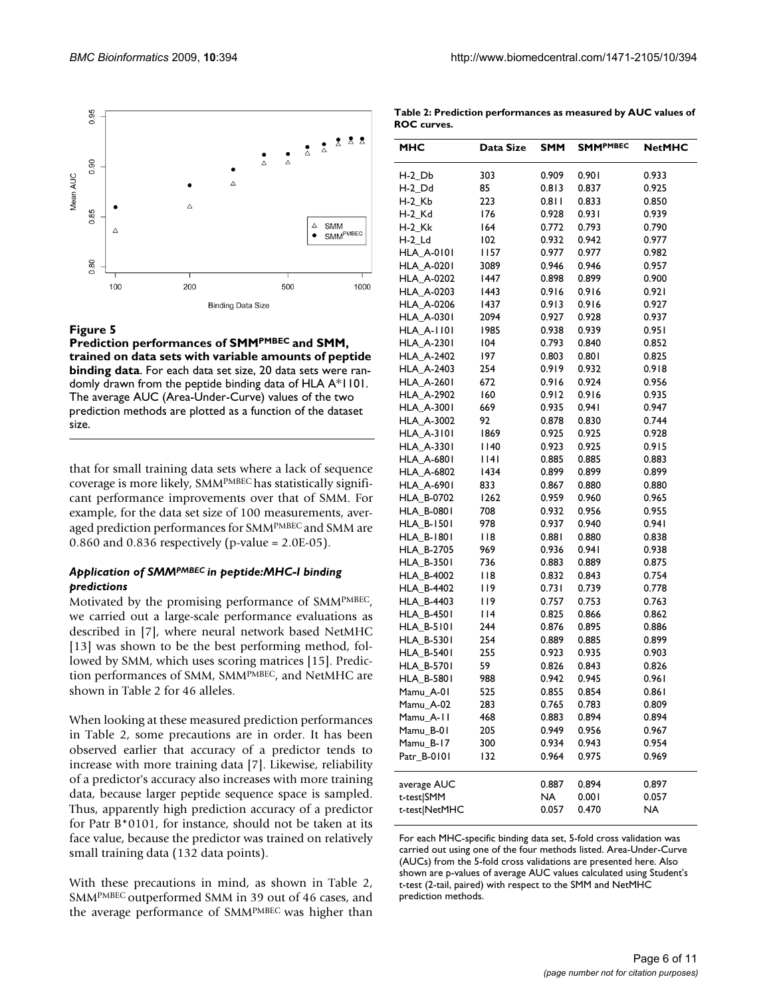

#### Prediction performances of SMMPMBEC data sets with variable am **Figure 5** ounts of peptide binding data and SMM, trained on

**Prediction performances of SMMPMBEC and SMM, trained on data sets with variable amounts of peptide binding data**. For each data set size, 20 data sets were randomly drawn from the peptide binding data of HLA A\*1101. The average AUC (Area-Under-Curve) values of the two prediction methods are plotted as a function of the dataset size.

that for small training data sets where a lack of sequence coverage is more likely, SMMPMBEC has statistically significant performance improvements over that of SMM. For example, for the data set size of 100 measurements, averaged prediction performances for SMMPMBEC and SMM are 0.860 and 0.836 respectively (p-value = 2.0E-05).

#### *Application of SMMPMBEC in peptide:MHC-I binding predictions*

Motivated by the promising performance of SMMPMBEC, we carried out a large-scale performance evaluations as described in [7], where neural network based NetMHC [13] was shown to be the best performing method, followed by SMM, which uses scoring matrices [15]. Prediction performances of SMM, SMMPMBEC, and NetMHC are shown in Table 2 for 46 alleles.

When looking at these measured prediction performances in Table 2, some precautions are in order. It has been observed earlier that accuracy of a predictor tends to increase with more training data [7]. Likewise, reliability of a predictor's accuracy also increases with more training data, because larger peptide sequence space is sampled. Thus, apparently high prediction accuracy of a predictor for Patr B\*0101, for instance, should not be taken at its face value, because the predictor was trained on relatively small training data (132 data points).

With these precautions in mind, as shown in Table 2, SMMPMBEC outperformed SMM in 39 out of 46 cases, and the average performance of SMMPMBEC was higher than

**Table 2: Prediction performances as measured by AUC values of ROC curves.**

| мнс               | Data Size | SMM       | <b>SMMPMBEC</b> | NetMHC |
|-------------------|-----------|-----------|-----------------|--------|
| H-2_Db            | 303       | 0.909     | 0.901           | 0.933  |
| H-2_Dd            | 85        | 0.813     | 0.837           | 0.925  |
| H-2_Kb            | 223       | 0.811     | 0.833           | 0.850  |
| H-2_Kd            | 176       | 0.928     | 0.931           | 0.939  |
| H-2_Kk            | 164       | 0.772     | 0.793           | 0.790  |
| H-2_Ld            | 102       | 0.932     | 0.942           | 0.977  |
| HLA_A-0101        | l 157     | 0.977     | 0.977           | 0.982  |
| HLA_A-0201        | 3089      | 0.946     | 0.946           | 0.957  |
| <b>HLA A-0202</b> | 1447      | 0.898     | 0.899           | 0.900  |
| <b>HLA_A-0203</b> | 1443      | 0.916     | 0.916           | 0.921  |
| <b>HLA_A-0206</b> | 1437      | 0.913     | 0.916           | 0.927  |
| <b>HLA A-0301</b> | 2094      | 0.927     | 0.928           | 0.937  |
| HLA_A-1101        | 1985      | 0.938     | 0.939           | 0.951  |
| HLA A-2301        | 104       | 0.793     | 0.840           | 0.852  |
| <b>HLA A-2402</b> | 197       | 0.803     | 0.801           | 0.825  |
| <b>HLA_A-2403</b> | 254       | 0.919     | 0.932           | 0.918  |
| HLA_A-2601        | 672       | 0.916     | 0.924           | 0.956  |
| <b>HLA A-2902</b> | 160       | 0.912     | 0.916           | 0.935  |
| <b>HLA A-3001</b> | 669       | 0.935     | 0.941           | 0.947  |
| <b>HLA A-3002</b> | 92        | 0.878     | 0.830           | 0.744  |
| <b>HLA A-3101</b> | 1869      | 0.925     | 0.925           | 0.928  |
| <b>HLA_A-3301</b> | l 140     | 0.923     | 0.925           | 0.915  |
| <b>HLA A-6801</b> | 14        | 0.885     | 0.885           | 0.883  |
| <b>HLA A-6802</b> | 1434      | 0.899     | 0.899           | 0.899  |
| <b>HLA A-6901</b> | 833       | 0.867     | 0.880           | 0.880  |
| <b>HLA B-0702</b> | 1262      | 0.959     | 0.960           | 0.965  |
| HLA_B-0801        | 708       | 0.932     | 0.956           | 0.955  |
| HLA_B-1501        | 978       | 0.937     | 0.940           | 0.941  |
| <b>HLA_B-1801</b> | I 18      | 0.881     | 0.880           | 0.838  |
| HLA_B-2705        | 969       | 0.936     | 0.941           | 0.938  |
| HLA_B-3501        | 736       | 0.883     | 0.889           | 0.875  |
| <b>HLA B-4002</b> | I 18      | 0.832     | 0.843           | 0.754  |
| <b>HLA B-4402</b> | 119       | 0.731     | 0.739           | 0.778  |
| HLA_B-4403        | I 19      | 0.757     | 0.753           | 0.763  |
| <b>HLA B-4501</b> | l 14      | 0.825     | 0.866           | 0.862  |
| HLA_B-5101        | 244       | 0.876     | 0.895           | 0.886  |
| HLA_B-5301        | 254       | 0.889     | 0.885           | 0.899  |
| <b>HLA B-5401</b> | 255       | 0.923     | 0.935           | 0.903  |
| <b>HLA B-5701</b> | 59        | 0.826     | 0.843           | 0.826  |
| HLA_B-5801        | 988       | 0.942     | 0.945           | 0.961  |
| Mamu_A-01         | 525       | 0.855     | 0.854           | 0.861  |
| Mamu_A-02         | 283       | 0.765     | 0.783           | 0.809  |
| Mamu_A-11         | 468       | 0.883     | 0.894           | 0.894  |
| Mamu B-01         | 205       | 0.949     | 0.956           | 0.967  |
| Mamu_B-17         | 300       | 0.934     | 0.943           | 0.954  |
| Patr_B-0101       | 132       | 0.964     | 0.975           | 0.969  |
| average AUC       |           | 0.887     | 0.894           | 0.897  |
| t-test SMM        |           | <b>NA</b> | 0.001           | 0.057  |
| t-test NetMHC     |           | 0.057     | 0.470           | NA     |

For each MHC-specific binding data set, 5-fold cross validation was carried out using one of the four methods listed. Area-Under-Curve (AUCs) from the 5-fold cross validations are presented here. Also shown are p-values of average AUC values calculated using Student's t-test (2-tail, paired) with respect to the SMM and NetMHC prediction methods.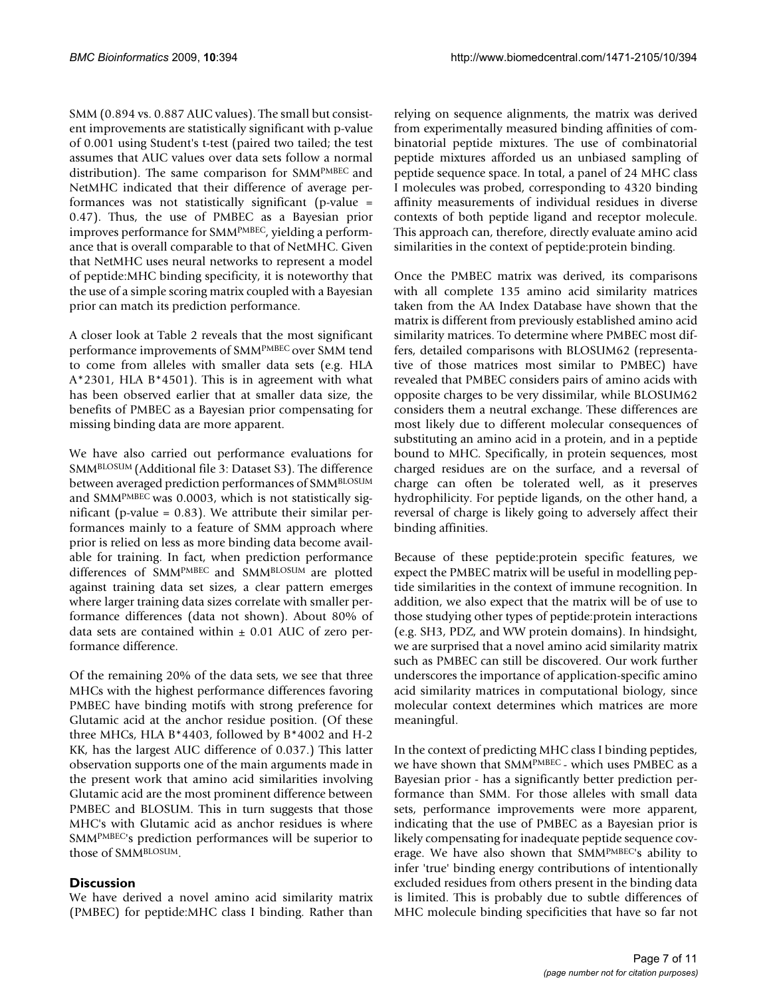SMM (0.894 vs. 0.887 AUC values). The small but consistent improvements are statistically significant with p-value of 0.001 using Student's t-test (paired two tailed; the test assumes that AUC values over data sets follow a normal distribution). The same comparison for SMMPMBEC and NetMHC indicated that their difference of average performances was not statistically significant (p-value = 0.47). Thus, the use of PMBEC as a Bayesian prior improves performance for SMMPMBEC, yielding a performance that is overall comparable to that of NetMHC. Given that NetMHC uses neural networks to represent a model of peptide:MHC binding specificity, it is noteworthy that the use of a simple scoring matrix coupled with a Bayesian prior can match its prediction performance.

A closer look at Table 2 reveals that the most significant performance improvements of SMMPMBEC over SMM tend to come from alleles with smaller data sets (e.g. HLA A\*2301, HLA B\*4501). This is in agreement with what has been observed earlier that at smaller data size, the benefits of PMBEC as a Bayesian prior compensating for missing binding data are more apparent.

We have also carried out performance evaluations for SMMBLOSUM (Additional file 3: Dataset S3). The difference between averaged prediction performances of SMM<sup>BLOSUM</sup> and SMMPMBEC was 0.0003, which is not statistically significant (p-value =  $0.83$ ). We attribute their similar performances mainly to a feature of SMM approach where prior is relied on less as more binding data become available for training. In fact, when prediction performance differences of SMMPMBEC and SMMBLOSUM are plotted against training data set sizes, a clear pattern emerges where larger training data sizes correlate with smaller performance differences (data not shown). About 80% of data sets are contained within  $\pm$  0.01 AUC of zero performance difference.

Of the remaining 20% of the data sets, we see that three MHCs with the highest performance differences favoring PMBEC have binding motifs with strong preference for Glutamic acid at the anchor residue position. (Of these three MHCs, HLA B\*4403, followed by B\*4002 and H-2 KK, has the largest AUC difference of 0.037.) This latter observation supports one of the main arguments made in the present work that amino acid similarities involving Glutamic acid are the most prominent difference between PMBEC and BLOSUM. This in turn suggests that those MHC's with Glutamic acid as anchor residues is where SMMPMBEC's prediction performances will be superior to those of SMMBLOSUM.

## **Discussion**

We have derived a novel amino acid similarity matrix (PMBEC) for peptide:MHC class I binding. Rather than

relying on sequence alignments, the matrix was derived from experimentally measured binding affinities of combinatorial peptide mixtures. The use of combinatorial peptide mixtures afforded us an unbiased sampling of peptide sequence space. In total, a panel of 24 MHC class I molecules was probed, corresponding to 4320 binding affinity measurements of individual residues in diverse contexts of both peptide ligand and receptor molecule. This approach can, therefore, directly evaluate amino acid similarities in the context of peptide:protein binding.

Once the PMBEC matrix was derived, its comparisons with all complete 135 amino acid similarity matrices taken from the AA Index Database have shown that the matrix is different from previously established amino acid similarity matrices. To determine where PMBEC most differs, detailed comparisons with BLOSUM62 (representative of those matrices most similar to PMBEC) have revealed that PMBEC considers pairs of amino acids with opposite charges to be very dissimilar, while BLOSUM62 considers them a neutral exchange. These differences are most likely due to different molecular consequences of substituting an amino acid in a protein, and in a peptide bound to MHC. Specifically, in protein sequences, most charged residues are on the surface, and a reversal of charge can often be tolerated well, as it preserves hydrophilicity. For peptide ligands, on the other hand, a reversal of charge is likely going to adversely affect their binding affinities.

Because of these peptide:protein specific features, we expect the PMBEC matrix will be useful in modelling peptide similarities in the context of immune recognition. In addition, we also expect that the matrix will be of use to those studying other types of peptide:protein interactions (e.g. SH3, PDZ, and WW protein domains). In hindsight, we are surprised that a novel amino acid similarity matrix such as PMBEC can still be discovered. Our work further underscores the importance of application-specific amino acid similarity matrices in computational biology, since molecular context determines which matrices are more meaningful.

In the context of predicting MHC class I binding peptides, we have shown that SMMPMBEC - which uses PMBEC as a Bayesian prior - has a significantly better prediction performance than SMM. For those alleles with small data sets, performance improvements were more apparent, indicating that the use of PMBEC as a Bayesian prior is likely compensating for inadequate peptide sequence coverage. We have also shown that SMMPMBEC's ability to infer 'true' binding energy contributions of intentionally excluded residues from others present in the binding data is limited. This is probably due to subtle differences of MHC molecule binding specificities that have so far not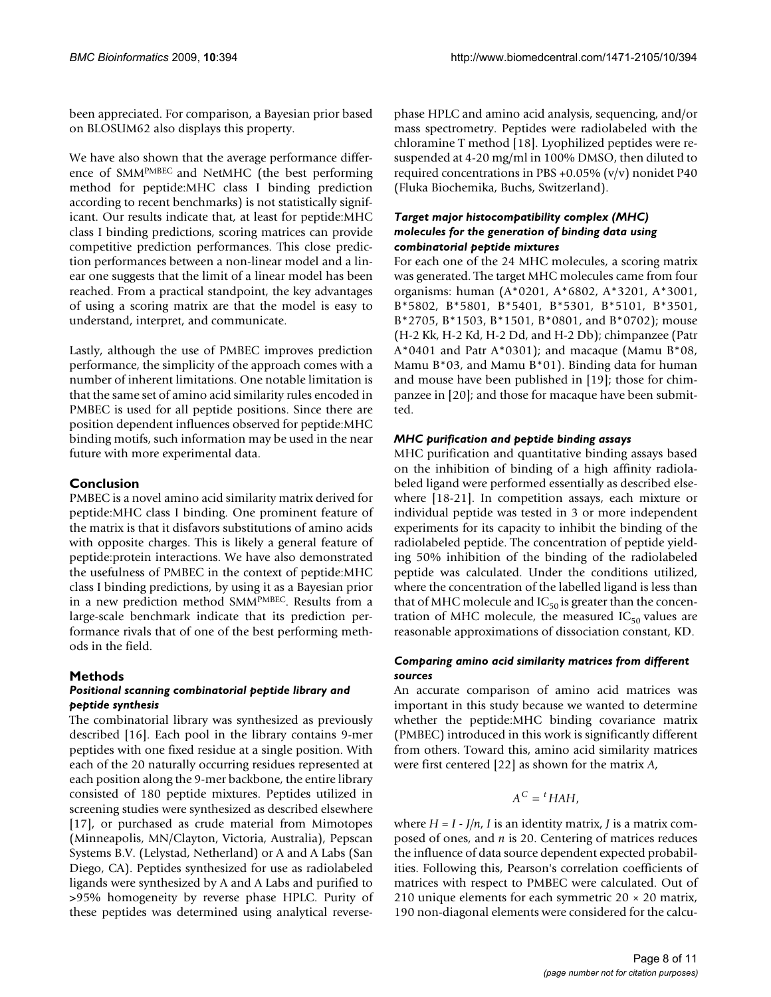been appreciated. For comparison, a Bayesian prior based on BLOSUM62 also displays this property.

We have also shown that the average performance difference of SMMPMBEC and NetMHC (the best performing method for peptide:MHC class I binding prediction according to recent benchmarks) is not statistically significant. Our results indicate that, at least for peptide:MHC class I binding predictions, scoring matrices can provide competitive prediction performances. This close prediction performances between a non-linear model and a linear one suggests that the limit of a linear model has been reached. From a practical standpoint, the key advantages of using a scoring matrix are that the model is easy to understand, interpret, and communicate.

Lastly, although the use of PMBEC improves prediction performance, the simplicity of the approach comes with a number of inherent limitations. One notable limitation is that the same set of amino acid similarity rules encoded in PMBEC is used for all peptide positions. Since there are position dependent influences observed for peptide:MHC binding motifs, such information may be used in the near future with more experimental data.

## **Conclusion**

PMBEC is a novel amino acid similarity matrix derived for peptide:MHC class I binding. One prominent feature of the matrix is that it disfavors substitutions of amino acids with opposite charges. This is likely a general feature of peptide:protein interactions. We have also demonstrated the usefulness of PMBEC in the context of peptide:MHC class I binding predictions, by using it as a Bayesian prior in a new prediction method SMMPMBEC. Results from a large-scale benchmark indicate that its prediction performance rivals that of one of the best performing methods in the field.

## **Methods**

#### *Positional scanning combinatorial peptide library and peptide synthesis*

The combinatorial library was synthesized as previously described [16]. Each pool in the library contains 9-mer peptides with one fixed residue at a single position. With each of the 20 naturally occurring residues represented at each position along the 9-mer backbone, the entire library consisted of 180 peptide mixtures. Peptides utilized in screening studies were synthesized as described elsewhere [17], or purchased as crude material from Mimotopes (Minneapolis, MN/Clayton, Victoria, Australia), Pepscan Systems B.V. (Lelystad, Netherland) or A and A Labs (San Diego, CA). Peptides synthesized for use as radiolabeled ligands were synthesized by A and A Labs and purified to >95% homogeneity by reverse phase HPLC. Purity of these peptides was determined using analytical reversephase HPLC and amino acid analysis, sequencing, and/or mass spectrometry. Peptides were radiolabeled with the chloramine T method [18]. Lyophilized peptides were resuspended at 4-20 mg/ml in 100% DMSO, then diluted to required concentrations in PBS +0.05% (v/v) nonidet P40 (Fluka Biochemika, Buchs, Switzerland).

## *Target major histocompatibility complex (MHC) molecules for the generation of binding data using combinatorial peptide mixtures*

For each one of the 24 MHC molecules, a scoring matrix was generated. The target MHC molecules came from four organisms: human (A\*0201, A\*6802, A\*3201, A\*3001, B\*5802, B\*5801, B\*5401, B\*5301, B\*5101, B\*3501, B\*2705, B\*1503, B\*1501, B\*0801, and B\*0702); mouse (H-2 Kk, H-2 Kd, H-2 Dd, and H-2 Db); chimpanzee (Patr A\*0401 and Patr A\*0301); and macaque (Mamu B\*08, Mamu B\*03, and Mamu B\*01). Binding data for human and mouse have been published in [19]; those for chimpanzee in [20]; and those for macaque have been submitted.

## *MHC purification and peptide binding assays*

MHC purification and quantitative binding assays based on the inhibition of binding of a high affinity radiolabeled ligand were performed essentially as described elsewhere [18-21]. In competition assays, each mixture or individual peptide was tested in 3 or more independent experiments for its capacity to inhibit the binding of the radiolabeled peptide. The concentration of peptide yielding 50% inhibition of the binding of the radiolabeled peptide was calculated. Under the conditions utilized, where the concentration of the labelled ligand is less than that of MHC molecule and  $IC_{50}$  is greater than the concentration of MHC molecule, the measured  $IC_{50}$  values are reasonable approximations of dissociation constant, KD.

## *Comparing amino acid similarity matrices from different sources*

An accurate comparison of amino acid matrices was important in this study because we wanted to determine whether the peptide:MHC binding covariance matrix (PMBEC) introduced in this work is significantly different from others. Toward this, amino acid similarity matrices were first centered [22] as shown for the matrix *A*,

$$
A^C = {}^t H A H,
$$

where  $H = I - J/n$ , *I* is an identity matrix, *J* is a matrix composed of ones, and *n* is 20. Centering of matrices reduces the influence of data source dependent expected probabilities. Following this, Pearson's correlation coefficients of matrices with respect to PMBEC were calculated. Out of 210 unique elements for each symmetric 20 × 20 matrix, 190 non-diagonal elements were considered for the calcu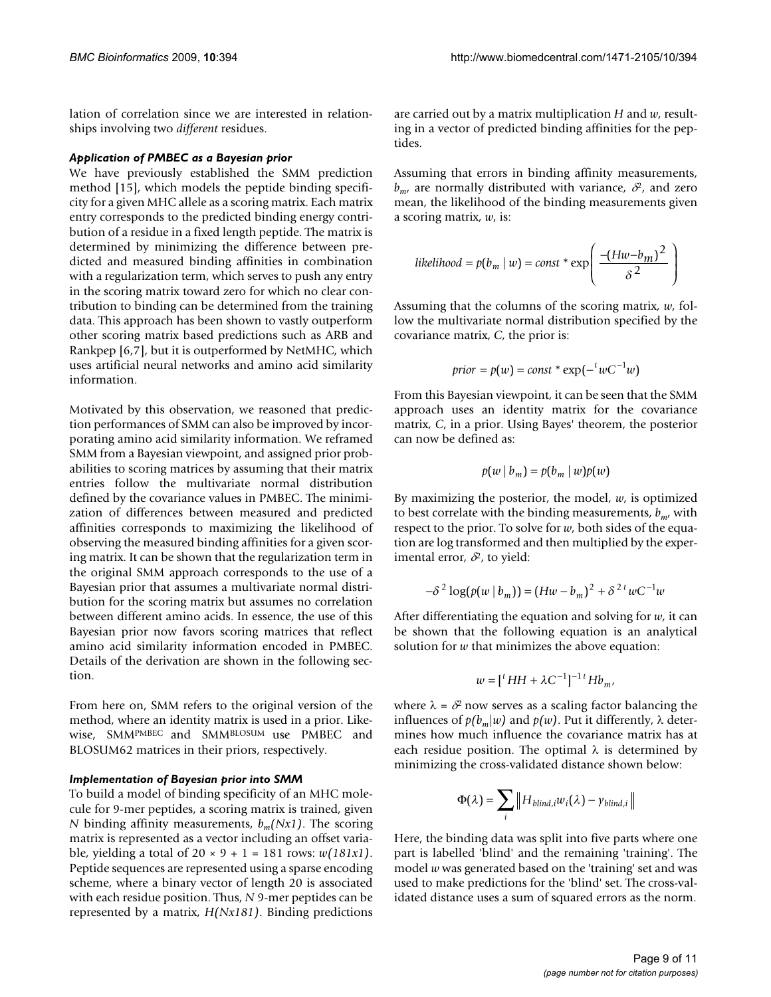lation of correlation since we are interested in relationships involving two *different* residues.

#### *Application of PMBEC as a Bayesian prior*

We have previously established the SMM prediction method [15], which models the peptide binding specificity for a given MHC allele as a scoring matrix. Each matrix entry corresponds to the predicted binding energy contribution of a residue in a fixed length peptide. The matrix is determined by minimizing the difference between predicted and measured binding affinities in combination with a regularization term, which serves to push any entry in the scoring matrix toward zero for which no clear contribution to binding can be determined from the training data. This approach has been shown to vastly outperform other scoring matrix based predictions such as ARB and Rankpep [6,7], but it is outperformed by NetMHC, which uses artificial neural networks and amino acid similarity information.

Motivated by this observation, we reasoned that prediction performances of SMM can also be improved by incorporating amino acid similarity information. We reframed SMM from a Bayesian viewpoint, and assigned prior probabilities to scoring matrices by assuming that their matrix entries follow the multivariate normal distribution defined by the covariance values in PMBEC. The minimization of differences between measured and predicted affinities corresponds to maximizing the likelihood of observing the measured binding affinities for a given scoring matrix. It can be shown that the regularization term in the original SMM approach corresponds to the use of a Bayesian prior that assumes a multivariate normal distribution for the scoring matrix but assumes no correlation between different amino acids. In essence, the use of this Bayesian prior now favors scoring matrices that reflect amino acid similarity information encoded in PMBEC. Details of the derivation are shown in the following section.

From here on, SMM refers to the original version of the method, where an identity matrix is used in a prior. Likewise, SMMPMBEC and SMMBLOSUM use PMBEC and BLOSUM62 matrices in their priors, respectively.

#### *Implementation of Bayesian prior into SMM*

To build a model of binding specificity of an MHC molecule for 9-mer peptides, a scoring matrix is trained, given *N* binding affinity measurements,  $b_m(Nx1)$ . The scoring matrix is represented as a vector including an offset variable, yielding a total of 20 × 9 + 1 = 181 rows: *w(181x1)*. Peptide sequences are represented using a sparse encoding scheme, where a binary vector of length 20 is associated with each residue position. Thus, *N* 9-mer peptides can be represented by a matrix, *H(Nx181)*. Binding predictions

are carried out by a matrix multiplication *H* and *w*, resulting in a vector of predicted binding affinities for the peptides.

Assuming that errors in binding affinity measurements,  $b_{m'}$  are normally distributed with variance,  $\delta^2$ , and zero mean, the likelihood of the binding measurements given a scoring matrix, *w*, is:

$$
likelihood = p(b_m \mid w) = const \cdot \exp\left(\frac{-(Hw - b_m)^2}{\delta^2}\right)
$$

Assuming that the columns of the scoring matrix, *w*, follow the multivariate normal distribution specified by the covariance matrix, *C*, the prior is:

$$
prior = p(w) = const * \exp(-^t w C^{-1} w)
$$

From this Bayesian viewpoint, it can be seen that the SMM approach uses an identity matrix for the covariance matrix, *C*, in a prior. Using Bayes' theorem, the posterior can now be defined as:

$$
p(w | b_m) = p(b_m | w) p(w)
$$

By maximizing the posterior, the model, *w*, is optimized to best correlate with the binding measurements,  $b_{m}$ , with respect to the prior. To solve for *w*, both sides of the equation are log transformed and then multiplied by the experimental error,  $\delta^2$ , to yield:

$$
-\delta^{2} \log(p(w \mid b_{m})) = (Hw - b_{m})^{2} + \delta^{2 t} w C^{-1} w
$$

After differentiating the equation and solving for *w*, it can be shown that the following equation is an analytical solution for *w* that minimizes the above equation:

$$
w = [{}^{t} H H + \lambda C^{-1}]^{-1} {}^{t} H b_m,
$$

where  $\lambda = \delta^2$  now serves as a scaling factor balancing the influences of  $p(b_m|w)$  and  $p(w)$ . Put it differently,  $\lambda$  determines how much influence the covariance matrix has at each residue position. The optimal  $\lambda$  is determined by minimizing the cross-validated distance shown below:

$$
\Phi(\lambda) = \sum_i \|H_{blind,i} w_i(\lambda) - \gamma_{blind,i}\|
$$

Here, the binding data was split into five parts where one part is labelled 'blind' and the remaining 'training'. The model *w* was generated based on the 'training' set and was used to make predictions for the 'blind' set. The cross-validated distance uses a sum of squared errors as the norm.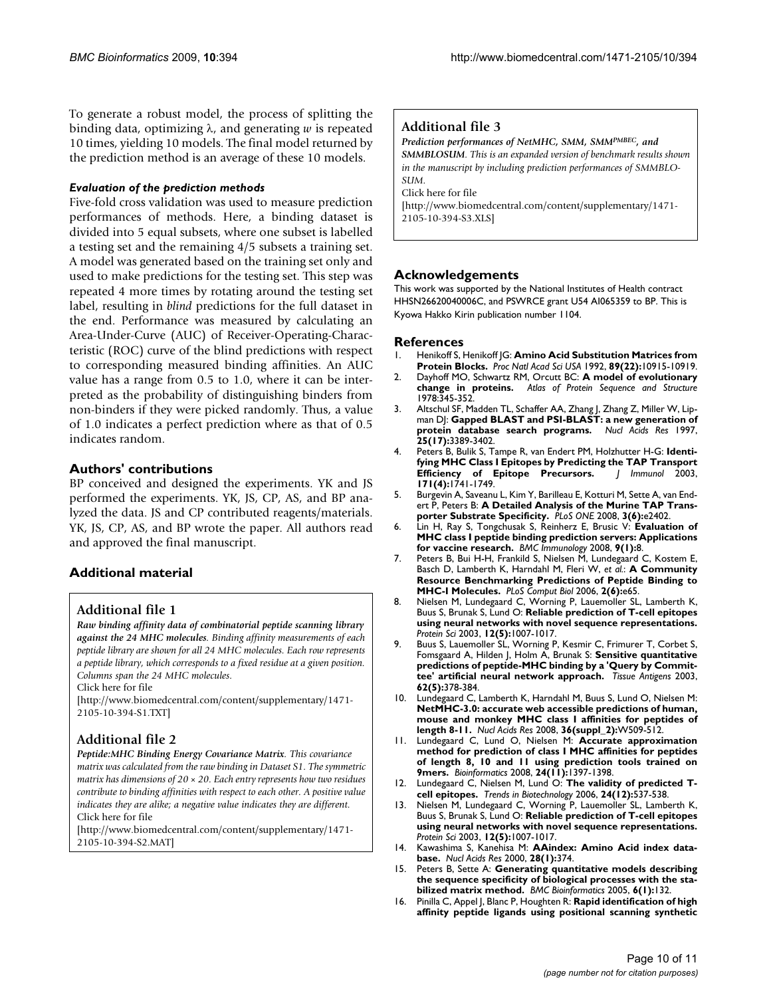To generate a robust model, the process of splitting the binding data, optimizing λ, and generating *w* is repeated 10 times, yielding 10 models. The final model returned by the prediction method is an average of these 10 models.

#### *Evaluation of the prediction methods*

Five-fold cross validation was used to measure prediction performances of methods. Here, a binding dataset is divided into 5 equal subsets, where one subset is labelled a testing set and the remaining 4/5 subsets a training set. A model was generated based on the training set only and used to make predictions for the testing set. This step was repeated 4 more times by rotating around the testing set label, resulting in *blind* predictions for the full dataset in the end. Performance was measured by calculating an Area-Under-Curve (AUC) of Receiver-Operating-Characteristic (ROC) curve of the blind predictions with respect to corresponding measured binding affinities. An AUC value has a range from 0.5 to 1.0, where it can be interpreted as the probability of distinguishing binders from non-binders if they were picked randomly. Thus, a value of 1.0 indicates a perfect prediction where as that of 0.5 indicates random.

#### **Authors' contributions**

BP conceived and designed the experiments. YK and JS performed the experiments. YK, JS, CP, AS, and BP analyzed the data. JS and CP contributed reagents/materials. YK, JS, CP, AS, and BP wrote the paper. All authors read and approved the final manuscript.

## **Additional material**

## **Additional file 1**

*Raw binding affinity data of combinatorial peptide scanning library against the 24 MHC molecules. Binding affinity measurements of each peptide library are shown for all 24 MHC molecules. Each row represents a peptide library, which corresponds to a fixed residue at a given position. Columns span the 24 MHC molecules.*

Click here for file

[\[http://www.biomedcentral.com/content/supplementary/1471-](http://www.biomedcentral.com/content/supplementary/1471-2105-10-394-S1.TXT) 2105-10-394-S1.TXT]

## **Additional file 2**

*Peptide:MHC Binding Energy Covariance Matrix. This covariance matrix was calculated from the raw binding in Dataset S1. The symmetric matrix has dimensions of 20 × 20. Each entry represents how two residues contribute to binding affinities with respect to each other. A positive value indicates they are alike; a negative value indicates they are different.* Click here for file

[\[http://www.biomedcentral.com/content/supplementary/1471-](http://www.biomedcentral.com/content/supplementary/1471-2105-10-394-S2.MAT) 2105-10-394-S2.MAT]

#### **Additional file 3**

*Prediction performances of NetMHC, SMM, SMMPMBEC, and SMMBLOSUM. This is an expanded version of benchmark results shown in the manuscript by including prediction performances of SMMBLO-SUM.*

Click here for file

[\[http://www.biomedcentral.com/content/supplementary/1471-](http://www.biomedcentral.com/content/supplementary/1471-2105-10-394-S3.XLS) 2105-10-394-S3.XLS]

#### **Acknowledgements**

This work was supported by the National Institutes of Health contract HHSN26620040006C, and PSWRCE grant U54 AI065359 to BP. This is Kyowa Hakko Kirin publication number 1104.

#### **References**

- 1. Henikoff S, Henikoff JG: **[Amino Acid Substitution Matrices from](http://www.ncbi.nlm.nih.gov/entrez/query.fcgi?cmd=Retrieve&db=PubMed&dopt=Abstract&list_uids=1438297) [Protein Blocks.](http://www.ncbi.nlm.nih.gov/entrez/query.fcgi?cmd=Retrieve&db=PubMed&dopt=Abstract&list_uids=1438297)** *Proc Natl Acad Sci USA* 1992, **89(22):**10915-10919.
- 2. Dayhoff MO, Schwartz RM, Orcutt BC: **A model of evolutionary change in proteins.** *Atlas of Protein Sequence and Structure* 1978:345-352.
- 3. Altschul SF, Madden TL, Schaffer AA, Zhang J, Zhang Z, Miller W, Lipman DJ: **[Gapped BLAST and PSI-BLAST: a new generation of](http://www.ncbi.nlm.nih.gov/entrez/query.fcgi?cmd=Retrieve&db=PubMed&dopt=Abstract&list_uids=9254694) [protein database search programs.](http://www.ncbi.nlm.nih.gov/entrez/query.fcgi?cmd=Retrieve&db=PubMed&dopt=Abstract&list_uids=9254694)** *Nucl Acids Res* 1997, **25(17):**3389-3402.
- 4. Peters B, Bulik S, Tampe R, van Endert PM, Holzhutter H-G: **[Identi](http://www.ncbi.nlm.nih.gov/entrez/query.fcgi?cmd=Retrieve&db=PubMed&dopt=Abstract&list_uids=12902473)[fying MHC Class I Epitopes by Predicting the TAP Transport](http://www.ncbi.nlm.nih.gov/entrez/query.fcgi?cmd=Retrieve&db=PubMed&dopt=Abstract&list_uids=12902473) [Efficiency of Epitope Precursors.](http://www.ncbi.nlm.nih.gov/entrez/query.fcgi?cmd=Retrieve&db=PubMed&dopt=Abstract&list_uids=12902473)** *J Immunol* 2003, **171(4):**1741-1749.
- 5. Burgevin A, Saveanu L, Kim Y, Barilleau E, Kotturi M, Sette A, van Endert P, Peters B: **[A Detailed Analysis of the Murine TAP Trans](http://www.ncbi.nlm.nih.gov/entrez/query.fcgi?cmd=Retrieve&db=PubMed&dopt=Abstract&list_uids=18545702)[porter Substrate Specificity.](http://www.ncbi.nlm.nih.gov/entrez/query.fcgi?cmd=Retrieve&db=PubMed&dopt=Abstract&list_uids=18545702)** *PLoS ONE* 2008, **3(6):**e2402.
- 6. Lin H, Ray S, Tongchusak S, Reinherz E, Brusic V: **[Evaluation of](http://www.ncbi.nlm.nih.gov/entrez/query.fcgi?cmd=Retrieve&db=PubMed&dopt=Abstract&list_uids=18366636) [MHC class I peptide binding prediction servers: Applications](http://www.ncbi.nlm.nih.gov/entrez/query.fcgi?cmd=Retrieve&db=PubMed&dopt=Abstract&list_uids=18366636) [for vaccine research.](http://www.ncbi.nlm.nih.gov/entrez/query.fcgi?cmd=Retrieve&db=PubMed&dopt=Abstract&list_uids=18366636)** *BMC Immunology* 2008, **9(1):**8.
- 7. Peters B, Bui H-H, Frankild S, Nielsen M, Lundegaard C, Kostem E, Basch D, Lamberth K, Harndahl M, Fleri W, *et al.*: **[A Community](http://www.ncbi.nlm.nih.gov/entrez/query.fcgi?cmd=Retrieve&db=PubMed&dopt=Abstract&list_uids=16789818) [Resource Benchmarking Predictions of Peptide Binding to](http://www.ncbi.nlm.nih.gov/entrez/query.fcgi?cmd=Retrieve&db=PubMed&dopt=Abstract&list_uids=16789818) [MHC-I Molecules.](http://www.ncbi.nlm.nih.gov/entrez/query.fcgi?cmd=Retrieve&db=PubMed&dopt=Abstract&list_uids=16789818)** *PLoS Comput Biol* 2006, **2(6):**e65.
- 8. Nielsen M, Lundegaard C, Worning P, Lauemoller SL, Lamberth K, Buus S, Brunak S, Lund O: **[Reliable prediction of T-cell epitopes](http://www.ncbi.nlm.nih.gov/entrez/query.fcgi?cmd=Retrieve&db=PubMed&dopt=Abstract&list_uids=12717023) [using neural networks with novel sequence representations.](http://www.ncbi.nlm.nih.gov/entrez/query.fcgi?cmd=Retrieve&db=PubMed&dopt=Abstract&list_uids=12717023)** *Protein Sci* 2003, **12(5):**1007-1017.
- 9. Buus S, Lauemoller SL, Worning P, Kesmir C, Frimurer T, Corbet S, Fomsgaard A, Hilden J, Holm A, Brunak S: **[Sensitive quantitative](http://www.ncbi.nlm.nih.gov/entrez/query.fcgi?cmd=Retrieve&db=PubMed&dopt=Abstract&list_uids=14617044) [predictions of peptide-MHC binding by a 'Query by Commit](http://www.ncbi.nlm.nih.gov/entrez/query.fcgi?cmd=Retrieve&db=PubMed&dopt=Abstract&list_uids=14617044)[tee' artificial neural network approach.](http://www.ncbi.nlm.nih.gov/entrez/query.fcgi?cmd=Retrieve&db=PubMed&dopt=Abstract&list_uids=14617044)** *Tissue Antigens* 2003, **62(5):**378-384.
- 10. Lundegaard C, Lamberth K, Harndahl M, Buus S, Lund O, Nielsen M: **[NetMHC-3.0: accurate web accessible predictions of human,](http://www.ncbi.nlm.nih.gov/entrez/query.fcgi?cmd=Retrieve&db=PubMed&dopt=Abstract&list_uids=18463140) mouse and monkey MHC class I affinities for peptides of [length 8-11.](http://www.ncbi.nlm.nih.gov/entrez/query.fcgi?cmd=Retrieve&db=PubMed&dopt=Abstract&list_uids=18463140)** *Nucl Acids Res* 2008, **36(suppl\_2):**W509-512.
- 11. Lundegaard C, Lund O, Nielsen M: **[Accurate approximation](http://www.ncbi.nlm.nih.gov/entrez/query.fcgi?cmd=Retrieve&db=PubMed&dopt=Abstract&list_uids=18413329) [method for prediction of class I MHC affinities for peptides](http://www.ncbi.nlm.nih.gov/entrez/query.fcgi?cmd=Retrieve&db=PubMed&dopt=Abstract&list_uids=18413329) of length 8, 10 and 11 using prediction tools trained on [9mers.](http://www.ncbi.nlm.nih.gov/entrez/query.fcgi?cmd=Retrieve&db=PubMed&dopt=Abstract&list_uids=18413329)** *Bioinformatics* 2008, **24(11):**1397-1398.
- 12. Lundegaard C, Nielsen M, Lund O: **[The validity of predicted T](http://www.ncbi.nlm.nih.gov/entrez/query.fcgi?cmd=Retrieve&db=PubMed&dopt=Abstract&list_uids=17045685)[cell epitopes.](http://www.ncbi.nlm.nih.gov/entrez/query.fcgi?cmd=Retrieve&db=PubMed&dopt=Abstract&list_uids=17045685)** *Trends in Biotechnology* 2006, **24(12):**537-538.
- 13. Nielsen M, Lundegaard C, Worning P, Lauemoller SL, Lamberth K, Buus S, Brunak S, Lund O: **[Reliable prediction of T-cell epitopes](http://www.ncbi.nlm.nih.gov/entrez/query.fcgi?cmd=Retrieve&db=PubMed&dopt=Abstract&list_uids=12717023) [using neural networks with novel sequence representations.](http://www.ncbi.nlm.nih.gov/entrez/query.fcgi?cmd=Retrieve&db=PubMed&dopt=Abstract&list_uids=12717023)** *Protein Sci* 2003, **12(5):**1007-1017.
- 14. Kawashima S, Kanehisa M: **[AAindex: Amino Acid index data](http://www.ncbi.nlm.nih.gov/entrez/query.fcgi?cmd=Retrieve&db=PubMed&dopt=Abstract&list_uids=10592278)[base.](http://www.ncbi.nlm.nih.gov/entrez/query.fcgi?cmd=Retrieve&db=PubMed&dopt=Abstract&list_uids=10592278)** *Nucl Acids Res* 2000, **28(1):**374.
- 15. Peters B, Sette A: **[Generating quantitative models describing](http://www.ncbi.nlm.nih.gov/entrez/query.fcgi?cmd=Retrieve&db=PubMed&dopt=Abstract&list_uids=15927070) [the sequence specificity of biological processes with the sta](http://www.ncbi.nlm.nih.gov/entrez/query.fcgi?cmd=Retrieve&db=PubMed&dopt=Abstract&list_uids=15927070)[bilized matrix method.](http://www.ncbi.nlm.nih.gov/entrez/query.fcgi?cmd=Retrieve&db=PubMed&dopt=Abstract&list_uids=15927070)** *BMC Bioinformatics* 2005, **6(1):**132.
- 16. Pinilla C, Appel J, Blanc P, Houghten R: **[Rapid identification of high](http://www.ncbi.nlm.nih.gov/entrez/query.fcgi?cmd=Retrieve&db=PubMed&dopt=Abstract&list_uids=1476743) [affinity peptide ligands using positional scanning synthetic](http://www.ncbi.nlm.nih.gov/entrez/query.fcgi?cmd=Retrieve&db=PubMed&dopt=Abstract&list_uids=1476743)**